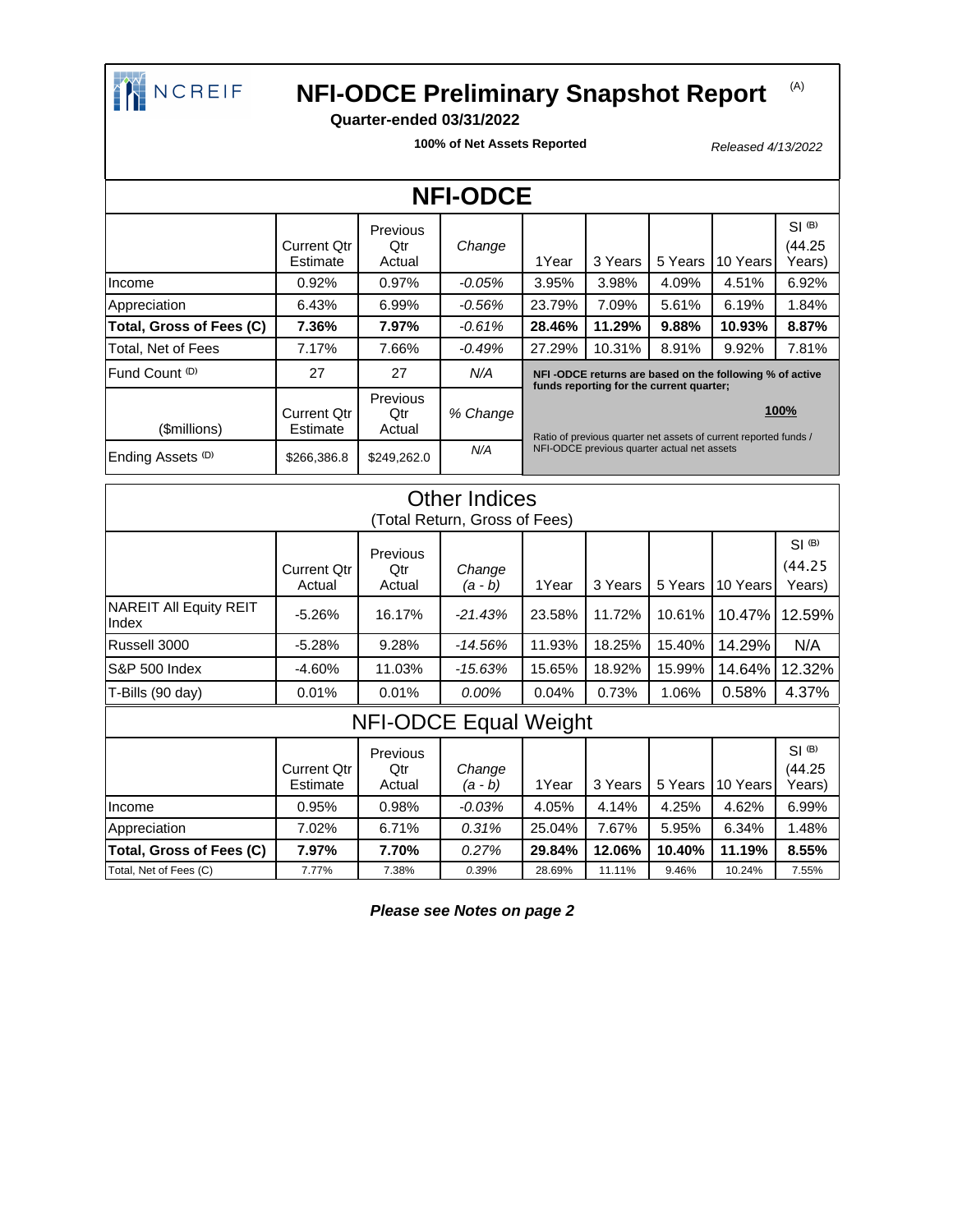

## **NEBRANGE REPRETE MEL-ODCE Preliminary Snapshot Report**

### **Quarter-ended 03/31/2022**

**100% of Net Assets Reported**

Released 4/13/2022

(A)

| <b>NFI-ODCE</b>              |                         |                                  |          |                                                                                                                 |         |         |          |                                |
|------------------------------|-------------------------|----------------------------------|----------|-----------------------------------------------------------------------------------------------------------------|---------|---------|----------|--------------------------------|
|                              | Current Otr<br>Estimate | Previous<br>Qtr<br>Actual        | Change   | 1Year                                                                                                           | 3 Years | 5 Years | 10 Years | $SI$ $(B)$<br>(44.25<br>Years) |
| Income                       | 0.92%                   | 0.97%                            | $-0.05%$ | 3.95%                                                                                                           | 3.98%   | 4.09%   | 4.51%    | 6.92%                          |
| Appreciation                 | 6.43%                   | 6.99%                            | $-0.56%$ | 23.79%                                                                                                          | 7.09%   | 5.61%   | 6.19%    | 1.84%                          |
| Total, Gross of Fees (C)     | 7.36%                   | 7.97%                            | $-0.61%$ | 28.46%                                                                                                          | 11.29%  | 9.88%   | 10.93%   | 8.87%                          |
| Total, Net of Fees           | 7.17%                   | 7.66%                            | $-0.49%$ | 27.29%                                                                                                          | 10.31%  | 8.91%   | 9.92%    | 7.81%                          |
| Fund Count (D)               | 27                      | 27                               | N/A      | NFI-ODCE returns are based on the following % of active<br>funds reporting for the current quarter;             |         |         |          |                                |
| (\$millions)                 | Current Otr<br>Estimate | <b>Previous</b><br>Qtr<br>Actual | % Change |                                                                                                                 |         |         |          | 100%                           |
| Ending Assets <sup>(D)</sup> | \$266,386.8             | \$249,262.0                      | N/A      | Ratio of previous quarter net assets of current reported funds /<br>NFI-ODCE previous quarter actual net assets |         |         |          |                                |

| <b>Other Indices</b><br>(Total Return, Gross of Fees) |                                |                           |                   |        |         |         |          |                                 |
|-------------------------------------------------------|--------------------------------|---------------------------|-------------------|--------|---------|---------|----------|---------------------------------|
|                                                       | <b>Current Qtr</b><br>Actual   | Previous<br>Qtr<br>Actual | Change<br>(a - b) | 1Year  | 3 Years | 5 Years | 10 Years | $SI$ $(B)$<br>(44.25)<br>Years) |
| <b>NAREIT All Equity REIT</b><br>Index                | $-5.26%$                       | 16.17%                    | $-21.43%$         | 23.58% | 11.72%  | 10.61%  | 10.47%   | 12.59%                          |
| Russell 3000                                          | $-5.28%$                       | 9.28%                     | $-14.56%$         | 11.93% | 18.25%  | 15.40%  | 14.29%   | N/A                             |
| <b>S&amp;P 500 Index</b>                              | -4.60%                         | 11.03%                    | $-15.63%$         | 15.65% | 18.92%  | 15.99%  | 14.64%   | 12.32%                          |
| T-Bills (90 day)                                      | 0.01%                          | 0.01%                     | 0.00%             | 0.04%  | 0.73%   | 1.06%   | 0.58%    | 4.37%                           |
| <b>NFI-ODCE Equal Weight</b>                          |                                |                           |                   |        |         |         |          |                                 |
|                                                       | <b>Current Qtr</b><br>Estimate | Previous<br>Qtr<br>Actual | Change<br>(a - b) | 1Year  | 3 Years | 5 Years | 10 Years | $SI$ (B)<br>(44.25<br>Years)    |
| Income                                                | 0.95%                          | 0.98%                     | $-0.03\%$         | 4.05%  | 4.14%   | 4.25%   | 4.62%    | 6.99%                           |
| Appreciation                                          | 7.02%                          | 6.71%                     | 0.31%             | 25.04% | 7.67%   | 5.95%   | 6.34%    | 1.48%                           |
| Total, Gross of Fees (C)                              | 7.97%                          | 7.70%                     | 0.27%             | 29.84% | 12.06%  | 10.40%  | 11.19%   | 8.55%                           |
| Total, Net of Fees (C)                                | 7.77%                          | 7.38%                     | 0.39%             | 28.69% | 11.11%  | 9.46%   | 10.24%   | 7.55%                           |

**Please see Notes on page 2**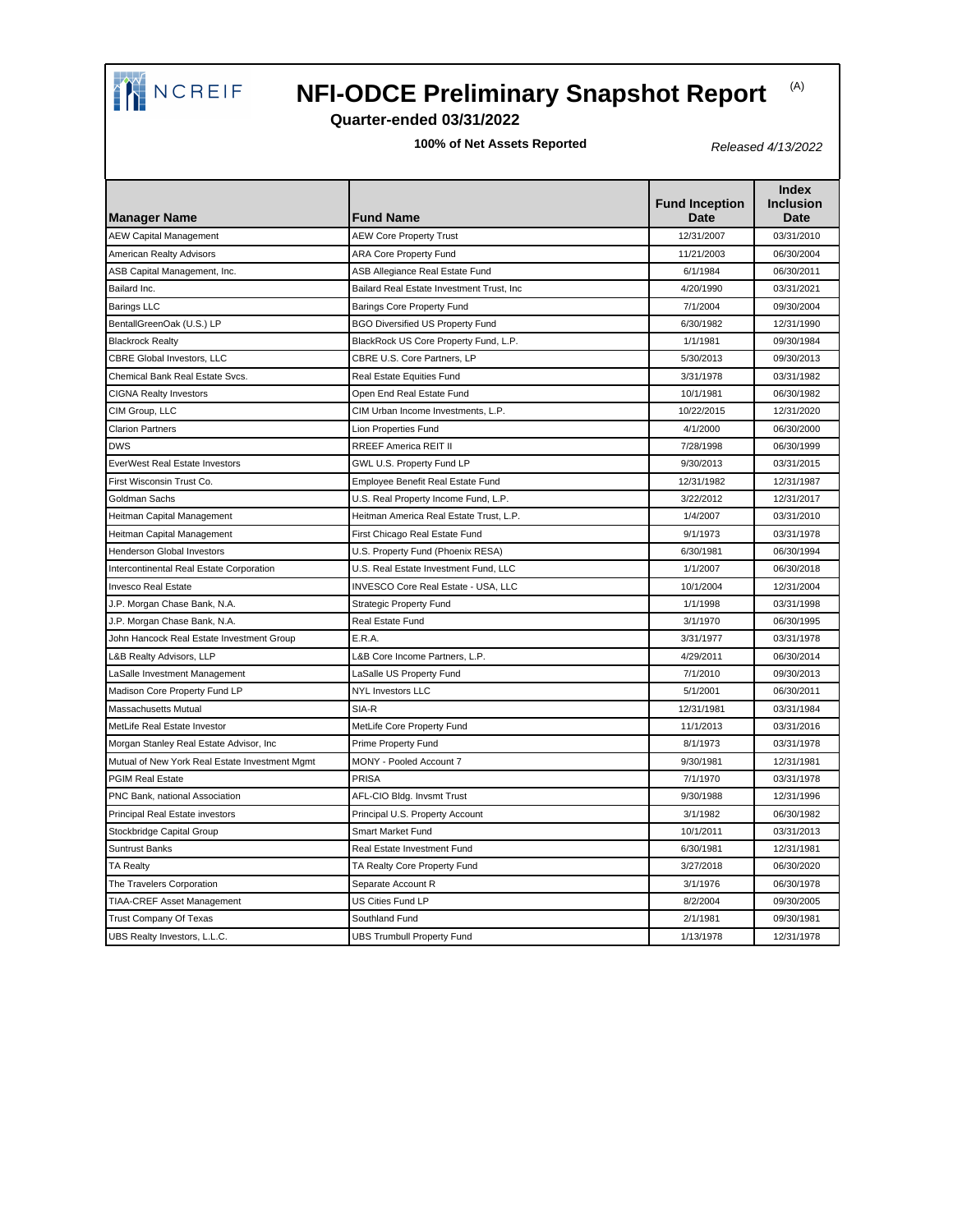

# **NEBRANGE REPODCE Preliminary Snapshot Report**

#### **Quarter-ended 03/31/2022**

**100% of Net Assets Reported**

Released 4/13/2022

| <b>Manager Name</b>                            | <b>Fund Name</b>                          | <b>Fund Inception</b><br>Date | <b>Index</b><br><b>Inclusion</b><br><b>Date</b> |
|------------------------------------------------|-------------------------------------------|-------------------------------|-------------------------------------------------|
| <b>AEW Capital Management</b>                  | <b>AEW Core Property Trust</b>            | 12/31/2007                    | 03/31/2010                                      |
| American Realty Advisors                       | <b>ARA Core Property Fund</b>             | 11/21/2003                    | 06/30/2004                                      |
| ASB Capital Management, Inc.                   | ASB Allegiance Real Estate Fund           | 6/1/1984                      | 06/30/2011                                      |
| Bailard Inc.                                   | Bailard Real Estate Investment Trust, Inc | 4/20/1990                     | 03/31/2021                                      |
| <b>Barings LLC</b>                             | <b>Barings Core Property Fund</b>         | 7/1/2004                      | 09/30/2004                                      |
| BentallGreenOak (U.S.) LP                      | <b>BGO Diversified US Property Fund</b>   | 6/30/1982                     | 12/31/1990                                      |
| <b>Blackrock Realty</b>                        | BlackRock US Core Property Fund, L.P.     | 1/1/1981                      | 09/30/1984                                      |
| CBRE Global Investors, LLC                     | CBRE U.S. Core Partners, LP               | 5/30/2013                     | 09/30/2013                                      |
| Chemical Bank Real Estate Svcs.                | Real Estate Equities Fund                 | 3/31/1978                     | 03/31/1982                                      |
| <b>CIGNA Realty Investors</b>                  | Open End Real Estate Fund                 | 10/1/1981                     | 06/30/1982                                      |
| CIM Group, LLC                                 | CIM Urban Income Investments, L.P.        | 10/22/2015                    | 12/31/2020                                      |
| <b>Clarion Partners</b>                        | Lion Properties Fund                      | 4/1/2000                      | 06/30/2000                                      |
| <b>DWS</b>                                     | <b>RREEF America REIT II</b>              | 7/28/1998                     | 06/30/1999                                      |
| <b>EverWest Real Estate Investors</b>          | GWL U.S. Property Fund LP                 | 9/30/2013                     | 03/31/2015                                      |
| First Wisconsin Trust Co.                      | Employee Benefit Real Estate Fund         | 12/31/1982                    | 12/31/1987                                      |
| Goldman Sachs                                  | U.S. Real Property Income Fund, L.P.      | 3/22/2012                     | 12/31/2017                                      |
| Heitman Capital Management                     | Heitman America Real Estate Trust, L.P.   | 1/4/2007                      | 03/31/2010                                      |
| Heitman Capital Management                     | First Chicago Real Estate Fund            | 9/1/1973                      | 03/31/1978                                      |
| Henderson Global Investors                     | U.S. Property Fund (Phoenix RESA)         | 6/30/1981                     | 06/30/1994                                      |
| Intercontinental Real Estate Corporation       | U.S. Real Estate Investment Fund, LLC     | 1/1/2007                      | 06/30/2018                                      |
| <b>Invesco Real Estate</b>                     | INVESCO Core Real Estate - USA, LLC       | 10/1/2004                     | 12/31/2004                                      |
| J.P. Morgan Chase Bank, N.A.                   | <b>Strategic Property Fund</b>            | 1/1/1998                      | 03/31/1998                                      |
| J.P. Morgan Chase Bank, N.A.                   | Real Estate Fund                          | 3/1/1970                      | 06/30/1995                                      |
| John Hancock Real Estate Investment Group      | E.R.A.                                    | 3/31/1977                     | 03/31/1978                                      |
| L&B Realty Advisors, LLP                       | L&B Core Income Partners, L.P.            | 4/29/2011                     | 06/30/2014                                      |
| LaSalle Investment Management                  | LaSalle US Property Fund                  | 7/1/2010                      | 09/30/2013                                      |
| Madison Core Property Fund LP                  | <b>NYL Investors LLC</b>                  | 5/1/2001                      | 06/30/2011                                      |
| Massachusetts Mutual                           | SIA-R                                     | 12/31/1981                    | 03/31/1984                                      |
| MetLife Real Estate Investor                   | MetLife Core Property Fund                | 11/1/2013                     | 03/31/2016                                      |
| Morgan Stanley Real Estate Advisor, Inc        | Prime Property Fund                       | 8/1/1973                      | 03/31/1978                                      |
| Mutual of New York Real Estate Investment Mgmt | MONY - Pooled Account 7                   | 9/30/1981                     | 12/31/1981                                      |
| <b>PGIM Real Estate</b>                        | PRISA                                     | 7/1/1970                      | 03/31/1978                                      |
| PNC Bank, national Association                 | AFL-CIO Bldg. Invsmt Trust                | 9/30/1988                     | 12/31/1996                                      |
| Principal Real Estate investors                | Principal U.S. Property Account           | 3/1/1982                      | 06/30/1982                                      |
| Stockbridge Capital Group                      | <b>Smart Market Fund</b>                  | 10/1/2011                     | 03/31/2013                                      |
| <b>Suntrust Banks</b>                          | Real Estate Investment Fund               | 6/30/1981                     | 12/31/1981                                      |
| <b>TA Realty</b>                               | TA Realty Core Property Fund              | 3/27/2018                     | 06/30/2020                                      |
| The Travelers Corporation                      | Separate Account R                        | 3/1/1976                      | 06/30/1978                                      |
| TIAA-CREF Asset Management                     | <b>US Cities Fund LP</b>                  | 8/2/2004                      | 09/30/2005                                      |
| <b>Trust Company Of Texas</b>                  | Southland Fund                            | 2/1/1981                      | 09/30/1981                                      |
| UBS Realty Investors, L.L.C.                   | <b>UBS Trumbull Property Fund</b>         | 1/13/1978                     | 12/31/1978                                      |

(A)